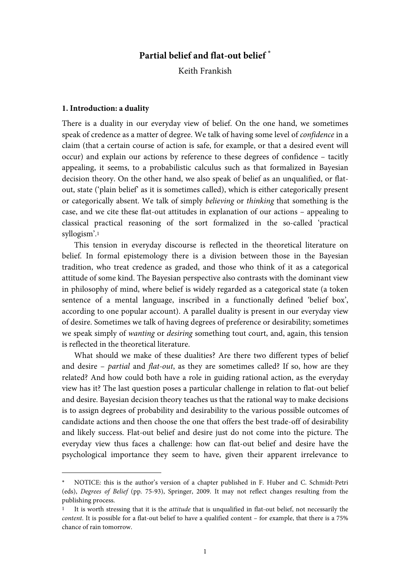# **Partial belief and flat-out belief** <sup>∗</sup>

### Keith Frankish

#### **1. Introduction: a duality**

-

There is a duality in our everyday view of belief. On the one hand, we sometimes speak of credence as a matter of degree. We talk of having some level of confidence in a claim (that a certain course of action is safe, for example, or that a desired event will occur) and explain our actions by reference to these degrees of confidence – tacitly appealing, it seems, to a probabilistic calculus such as that formalized in Bayesian decision theory. On the other hand, we also speak of belief as an unqualified, or flatout, state ('plain belief' as it is sometimes called), which is either categorically present or categorically absent. We talk of simply believing or thinking that something is the case, and we cite these flat-out attitudes in explanation of our actions – appealing to classical practical reasoning of the sort formalized in the so-called 'practical syllogism'.<sup>1</sup>

 This tension in everyday discourse is reflected in the theoretical literature on belief. In formal epistemology there is a division between those in the Bayesian tradition, who treat credence as graded, and those who think of it as a categorical attitude of some kind. The Bayesian perspective also contrasts with the dominant view in philosophy of mind, where belief is widely regarded as a categorical state (a token sentence of a mental language, inscribed in a functionally defined 'belief box', according to one popular account). A parallel duality is present in our everyday view of desire. Sometimes we talk of having degrees of preference or desirability; sometimes we speak simply of wanting or desiring something tout court, and, again, this tension is reflected in the theoretical literature.

 What should we make of these dualities? Are there two different types of belief and desire – partial and flat-out, as they are sometimes called? If so, how are they related? And how could both have a role in guiding rational action, as the everyday view has it? The last question poses a particular challenge in relation to flat-out belief and desire. Bayesian decision theory teaches us that the rational way to make decisions is to assign degrees of probability and desirability to the various possible outcomes of candidate actions and then choose the one that offers the best trade-off of desirability and likely success. Flat-out belief and desire just do not come into the picture. The everyday view thus faces a challenge: how can flat-out belief and desire have the psychological importance they seem to have, given their apparent irrelevance to

<sup>∗</sup> NOTICE: this is the author's version of a chapter published in F. Huber and C. Schmidt-Petri (eds), Degrees of Belief (pp. 75-93), Springer, 2009. It may not reflect changes resulting from the publishing process.

<sup>&</sup>lt;sup>1</sup> It is worth stressing that it is the *attitude* that is unqualified in flat-out belief, not necessarily the content. It is possible for a flat-out belief to have a qualified content – for example, that there is a 75% chance of rain tomorrow.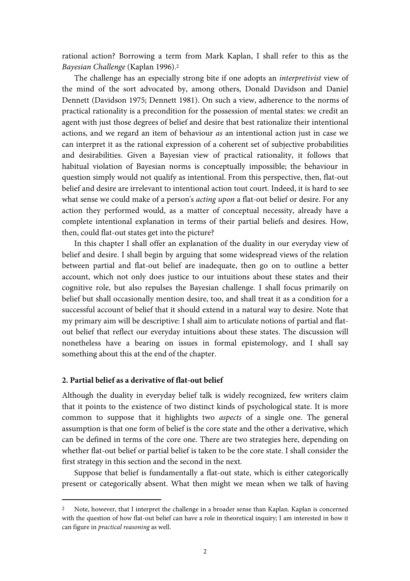rational action? Borrowing a term from Mark Kaplan, I shall refer to this as the Bayesian Challenge (Kaplan 1996).<sup>2</sup>

 The challenge has an especially strong bite if one adopts an interpretivist view of the mind of the sort advocated by, among others, Donald Davidson and Daniel Dennett (Davidson 1975; Dennett 1981). On such a view, adherence to the norms of practical rationality is a precondition for the possession of mental states: we credit an agent with just those degrees of belief and desire that best rationalize their intentional actions, and we regard an item of behaviour as an intentional action just in case we can interpret it as the rational expression of a coherent set of subjective probabilities and desirabilities. Given a Bayesian view of practical rationality, it follows that habitual violation of Bayesian norms is conceptually impossible; the behaviour in question simply would not qualify as intentional. From this perspective, then, flat-out belief and desire are irrelevant to intentional action tout court. Indeed, it is hard to see what sense we could make of a person's acting upon a flat-out belief or desire. For any action they performed would, as a matter of conceptual necessity, already have a complete intentional explanation in terms of their partial beliefs and desires. How, then, could flat-out states get into the picture?

 In this chapter I shall offer an explanation of the duality in our everyday view of belief and desire. I shall begin by arguing that some widespread views of the relation between partial and flat-out belief are inadequate, then go on to outline a better account, which not only does justice to our intuitions about these states and their cognitive role, but also repulses the Bayesian challenge. I shall focus primarily on belief but shall occasionally mention desire, too, and shall treat it as a condition for a successful account of belief that it should extend in a natural way to desire. Note that my primary aim will be descriptive: I shall aim to articulate notions of partial and flatout belief that reflect our everyday intuitions about these states. The discussion will nonetheless have a bearing on issues in formal epistemology, and I shall say something about this at the end of the chapter.

### **2. Partial belief as a derivative of flat-out belief**

-

Although the duality in everyday belief talk is widely recognized, few writers claim that it points to the existence of two distinct kinds of psychological state. It is more common to suppose that it highlights two aspects of a single one. The general assumption is that one form of belief is the core state and the other a derivative, which can be defined in terms of the core one. There are two strategies here, depending on whether flat-out belief or partial belief is taken to be the core state. I shall consider the first strategy in this section and the second in the next.

 Suppose that belief is fundamentally a flat-out state, which is either categorically present or categorically absent. What then might we mean when we talk of having

<sup>&</sup>lt;sup>2</sup> Note, however, that I interpret the challenge in a broader sense than Kaplan. Kaplan is concerned with the question of how flat-out belief can have a role in theoretical inquiry; I am interested in how it can figure in practical reasoning as well.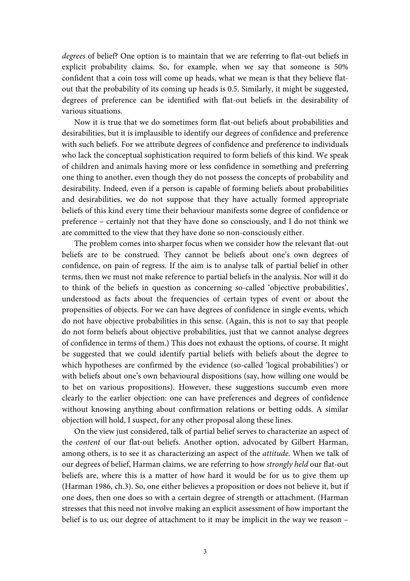degrees of belief? One option is to maintain that we are referring to flat-out beliefs in explicit probability claims. So, for example, when we say that someone is 50% confident that a coin toss will come up heads, what we mean is that they believe flatout that the probability of its coming up heads is 0.5. Similarly, it might be suggested, degrees of preference can be identified with flat-out beliefs in the desirability of various situations.

 Now it is true that we do sometimes form flat-out beliefs about probabilities and desirabilities, but it is implausible to identify our degrees of confidence and preference with such beliefs. For we attribute degrees of confidence and preference to individuals who lack the conceptual sophistication required to form beliefs of this kind. We speak of children and animals having more or less confidence in something and preferring one thing to another, even though they do not possess the concepts of probability and desirability. Indeed, even if a person is capable of forming beliefs about probabilities and desirabilities, we do not suppose that they have actually formed appropriate beliefs of this kind every time their behaviour manifests some degree of confidence or preference – certainly not that they have done so consciously, and I do not think we are committed to the view that they have done so non-consciously either.

 The problem comes into sharper focus when we consider how the relevant flat-out beliefs are to be construed. They cannot be beliefs about one's own degrees of confidence, on pain of regress. If the aim is to analyse talk of partial belief in other terms, then we must not make reference to partial beliefs in the analysis. Nor will it do to think of the beliefs in question as concerning so-called 'objective probabilities', understood as facts about the frequencies of certain types of event or about the propensities of objects. For we can have degrees of confidence in single events, which do not have objective probabilities in this sense. (Again, this is not to say that people do not form beliefs about objective probabilities, just that we cannot analyse degrees of confidence in terms of them.) This does not exhaust the options, of course. It might be suggested that we could identify partial beliefs with beliefs about the degree to which hypotheses are confirmed by the evidence (so-called 'logical probabilities') or with beliefs about one's own behavioural dispositions (say, how willing one would be to bet on various propositions). However, these suggestions succumb even more clearly to the earlier objection: one can have preferences and degrees of confidence without knowing anything about confirmation relations or betting odds. A similar objection will hold, I suspect, for any other proposal along these lines.

 On the view just considered, talk of partial belief serves to characterize an aspect of the content of our flat-out beliefs. Another option, advocated by Gilbert Harman, among others, is to see it as characterizing an aspect of the attitude. When we talk of our degrees of belief, Harman claims, we are referring to how strongly held our flat-out beliefs are, where this is a matter of how hard it would be for us to give them up (Harman 1986, ch.3). So, one either believes a proposition or does not believe it, but if one does, then one does so with a certain degree of strength or attachment. (Harman stresses that this need not involve making an explicit assessment of how important the belief is to us; our degree of attachment to it may be implicit in the way we reason –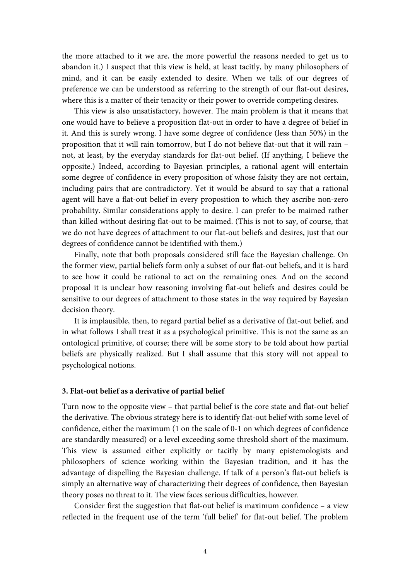the more attached to it we are, the more powerful the reasons needed to get us to abandon it.) I suspect that this view is held, at least tacitly, by many philosophers of mind, and it can be easily extended to desire. When we talk of our degrees of preference we can be understood as referring to the strength of our flat-out desires, where this is a matter of their tenacity or their power to override competing desires.

 This view is also unsatisfactory, however. The main problem is that it means that one would have to believe a proposition flat-out in order to have a degree of belief in it. And this is surely wrong. I have some degree of confidence (less than 50%) in the proposition that it will rain tomorrow, but I do not believe flat-out that it will rain – not, at least, by the everyday standards for flat-out belief. (If anything, I believe the opposite.) Indeed, according to Bayesian principles, a rational agent will entertain some degree of confidence in every proposition of whose falsity they are not certain, including pairs that are contradictory. Yet it would be absurd to say that a rational agent will have a flat-out belief in every proposition to which they ascribe non-zero probability. Similar considerations apply to desire. I can prefer to be maimed rather than killed without desiring flat-out to be maimed. (This is not to say, of course, that we do not have degrees of attachment to our flat-out beliefs and desires, just that our degrees of confidence cannot be identified with them.)

 Finally, note that both proposals considered still face the Bayesian challenge. On the former view, partial beliefs form only a subset of our flat-out beliefs, and it is hard to see how it could be rational to act on the remaining ones. And on the second proposal it is unclear how reasoning involving flat-out beliefs and desires could be sensitive to our degrees of attachment to those states in the way required by Bayesian decision theory.

 It is implausible, then, to regard partial belief as a derivative of flat-out belief, and in what follows I shall treat it as a psychological primitive. This is not the same as an ontological primitive, of course; there will be some story to be told about how partial beliefs are physically realized. But I shall assume that this story will not appeal to psychological notions.

### **3. Flat-out belief as a derivative of partial belief**

Turn now to the opposite view – that partial belief is the core state and flat-out belief the derivative. The obvious strategy here is to identify flat-out belief with some level of confidence, either the maximum (1 on the scale of 0-1 on which degrees of confidence are standardly measured) or a level exceeding some threshold short of the maximum. This view is assumed either explicitly or tacitly by many epistemologists and philosophers of science working within the Bayesian tradition, and it has the advantage of dispelling the Bayesian challenge. If talk of a person's flat-out beliefs is simply an alternative way of characterizing their degrees of confidence, then Bayesian theory poses no threat to it. The view faces serious difficulties, however.

 Consider first the suggestion that flat-out belief is maximum confidence – a view reflected in the frequent use of the term 'full belief' for flat-out belief. The problem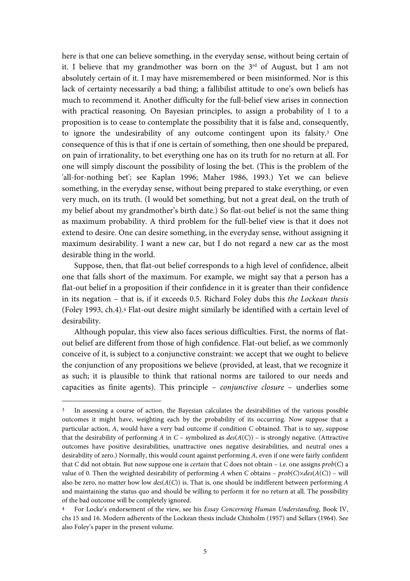here is that one can believe something, in the everyday sense, without being certain of it. I believe that my grandmother was born on the  $3<sup>rd</sup>$  of August, but I am not absolutely certain of it. I may have misremembered or been misinformed. Nor is this lack of certainty necessarily a bad thing; a fallibilist attitude to one's own beliefs has much to recommend it. Another difficulty for the full-belief view arises in connection with practical reasoning. On Bayesian principles, to assign a probability of 1 to a proposition is to cease to contemplate the possibility that it is false and, consequently, to ignore the undesirability of any outcome contingent upon its falsity.3 One consequence of this is that if one is certain of something, then one should be prepared, on pain of irrationality, to bet everything one has on its truth for no return at all. For one will simply discount the possibility of losing the bet. (This is the problem of the 'all-for-nothing bet'; see Kaplan 1996; Maher 1986, 1993.) Yet we can believe something, in the everyday sense, without being prepared to stake everything, or even very much, on its truth. (I would bet something, but not a great deal, on the truth of my belief about my grandmother's birth date.) So flat-out belief is not the same thing as maximum probability. A third problem for the full-belief view is that it does not extend to desire. One can desire something, in the everyday sense, without assigning it maximum desirability. I want a new car, but I do not regard a new car as the most desirable thing in the world.

 Suppose, then, that flat-out belief corresponds to a high level of confidence, albeit one that falls short of the maximum. For example, we might say that a person has a flat-out belief in a proposition if their confidence in it is greater than their confidence in its negation – that is, if it exceeds 0.5. Richard Foley dubs this the Lockean thesis (Foley 1993, ch.4).4 Flat-out desire might similarly be identified with a certain level of desirability.

 Although popular, this view also faces serious difficulties. First, the norms of flatout belief are different from those of high confidence. Flat-out belief, as we commonly conceive of it, is subject to a conjunctive constraint: we accept that we ought to believe the conjunction of any propositions we believe (provided, at least, that we recognize it as such; it is plausible to think that rational norms are tailored to our needs and capacities as finite agents). This principle – conjunctive closure – underlies some

<sup>3</sup> In assessing a course of action, the Bayesian calculates the desirabilities of the various possible outcomes it might have, weighting each by the probability of its occurring. Now suppose that a particular action, A, would have a very bad outcome if condition C obtained. That is to say, suppose that the desirability of performing A in C – symbolized as  $des(A(C))$  – is strongly negative. (Attractive outcomes have positive desirabilities, unattractive ones negative desirabilities, and neutral ones a desirability of zero.) Normally, this would count against performing A, even if one were fairly confident that C did not obtain. But now suppose one is *certain* that C does not obtain – i.e. one assigns  $prob(C)$  a value of 0. Then the weighted desirability of performing A when C obtains –  $prob(C) \times des(A(C))$  – will also be zero, no matter how low  $des(A(C))$  is. That is, one should be indifferent between performing A and maintaining the status quo and should be willing to perform it for no return at all. The possibility of the bad outcome will be completely ignored.

<sup>&</sup>lt;sup>4</sup> For Locke's endorsement of the view, see his *Essay Concerning Human Understanding*, Book IV, chs 15 and 16. Modern adherents of the Lockean thesis include Chisholm (1957) and Sellars (1964). See also Foley's paper in the present volume.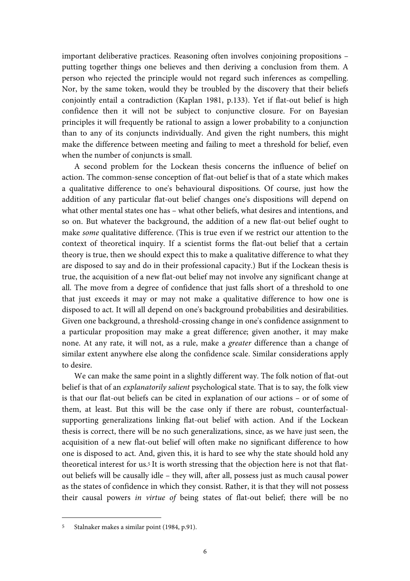important deliberative practices. Reasoning often involves conjoining propositions – putting together things one believes and then deriving a conclusion from them. A person who rejected the principle would not regard such inferences as compelling. Nor, by the same token, would they be troubled by the discovery that their beliefs conjointly entail a contradiction (Kaplan 1981, p.133). Yet if flat-out belief is high confidence then it will not be subject to conjunctive closure. For on Bayesian principles it will frequently be rational to assign a lower probability to a conjunction than to any of its conjuncts individually. And given the right numbers, this might make the difference between meeting and failing to meet a threshold for belief, even when the number of conjuncts is small.

 A second problem for the Lockean thesis concerns the influence of belief on action. The common-sense conception of flat-out belief is that of a state which makes a qualitative difference to one's behavioural dispositions. Of course, just how the addition of any particular flat-out belief changes one's dispositions will depend on what other mental states one has – what other beliefs, what desires and intentions, and so on. But whatever the background, the addition of a new flat-out belief ought to make some qualitative difference. (This is true even if we restrict our attention to the context of theoretical inquiry. If a scientist forms the flat-out belief that a certain theory is true, then we should expect this to make a qualitative difference to what they are disposed to say and do in their professional capacity.) But if the Lockean thesis is true, the acquisition of a new flat-out belief may not involve any significant change at all. The move from a degree of confidence that just falls short of a threshold to one that just exceeds it may or may not make a qualitative difference to how one is disposed to act. It will all depend on one's background probabilities and desirabilities. Given one background, a threshold-crossing change in one's confidence assignment to a particular proposition may make a great difference; given another, it may make none. At any rate, it will not, as a rule, make a greater difference than a change of similar extent anywhere else along the confidence scale. Similar considerations apply to desire.

 We can make the same point in a slightly different way. The folk notion of flat-out belief is that of an *explanatorily salient* psychological state. That is to say, the folk view is that our flat-out beliefs can be cited in explanation of our actions – or of some of them, at least. But this will be the case only if there are robust, counterfactualsupporting generalizations linking flat-out belief with action. And if the Lockean thesis is correct, there will be no such generalizations, since, as we have just seen, the acquisition of a new flat-out belief will often make no significant difference to how one is disposed to act. And, given this, it is hard to see why the state should hold any theoretical interest for us.5 It is worth stressing that the objection here is not that flatout beliefs will be causally idle – they will, after all, possess just as much causal power as the states of confidence in which they consist. Rather, it is that they will not possess their causal powers in virtue of being states of flat-out belief; there will be no

<sup>5</sup> Stalnaker makes a similar point (1984, p.91).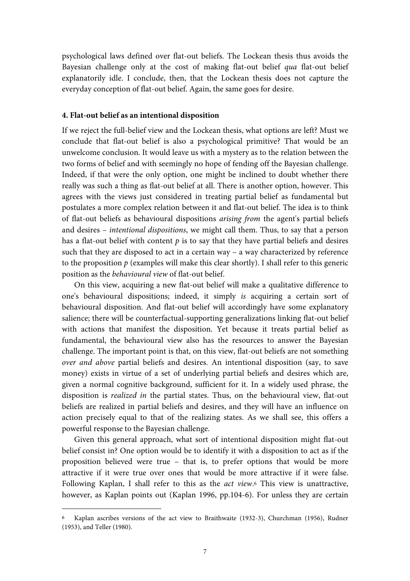psychological laws defined over flat-out beliefs. The Lockean thesis thus avoids the Bayesian challenge only at the cost of making flat-out belief qua flat-out belief explanatorily idle. I conclude, then, that the Lockean thesis does not capture the everyday conception of flat-out belief. Again, the same goes for desire.

#### **4. Flat-out belief as an intentional disposition**

If we reject the full-belief view and the Lockean thesis, what options are left? Must we conclude that flat-out belief is also a psychological primitive? That would be an unwelcome conclusion. It would leave us with a mystery as to the relation between the two forms of belief and with seemingly no hope of fending off the Bayesian challenge. Indeed, if that were the only option, one might be inclined to doubt whether there really was such a thing as flat-out belief at all. There is another option, however. This agrees with the views just considered in treating partial belief as fundamental but postulates a more complex relation between it and flat-out belief. The idea is to think of flat-out beliefs as behavioural dispositions arising from the agent's partial beliefs and desires – intentional dispositions, we might call them. Thus, to say that a person has a flat-out belief with content  $p$  is to say that they have partial beliefs and desires such that they are disposed to act in a certain way – a way characterized by reference to the proposition  $p$  (examples will make this clear shortly). I shall refer to this generic position as the behavioural view of flat-out belief.

 On this view, acquiring a new flat-out belief will make a qualitative difference to one's behavioural dispositions; indeed, it simply is acquiring a certain sort of behavioural disposition. And flat-out belief will accordingly have some explanatory salience; there will be counterfactual-supporting generalizations linking flat-out belief with actions that manifest the disposition. Yet because it treats partial belief as fundamental, the behavioural view also has the resources to answer the Bayesian challenge. The important point is that, on this view, flat-out beliefs are not something over and above partial beliefs and desires. An intentional disposition (say, to save money) exists in virtue of a set of underlying partial beliefs and desires which are, given a normal cognitive background, sufficient for it. In a widely used phrase, the disposition is realized in the partial states. Thus, on the behavioural view, flat-out beliefs are realized in partial beliefs and desires, and they will have an influence on action precisely equal to that of the realizing states. As we shall see, this offers a powerful response to the Bayesian challenge.

 Given this general approach, what sort of intentional disposition might flat-out belief consist in? One option would be to identify it with a disposition to act as if the proposition believed were true – that is, to prefer options that would be more attractive if it were true over ones that would be more attractive if it were false. Following Kaplan, I shall refer to this as the *act view*.<sup>6</sup> This view is unattractive, however, as Kaplan points out (Kaplan 1996, pp.104-6). For unless they are certain

<sup>6</sup> Kaplan ascribes versions of the act view to Braithwaite (1932-3), Churchman (1956), Rudner (1953), and Teller (1980).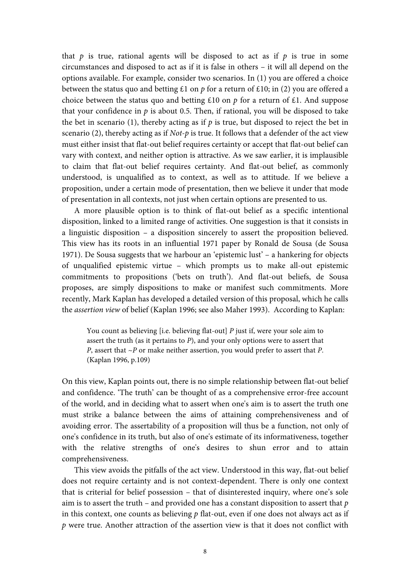that  $p$  is true, rational agents will be disposed to act as if  $p$  is true in some circumstances and disposed to act as if it is false in others – it will all depend on the options available. For example, consider two scenarios. In (1) you are offered a choice between the status quo and betting  $\pm 1$  on p for a return of  $\pm 10$ ; in (2) you are offered a choice between the status quo and betting  $\text{\pounds}10$  on p for a return of  $\text{\pounds}1$ . And suppose that your confidence in  $p$  is about 0.5. Then, if rational, you will be disposed to take the bet in scenario (1), thereby acting as if  $p$  is true, but disposed to reject the bet in scenario (2), thereby acting as if  $Not-p$  is true. It follows that a defender of the act view must either insist that flat-out belief requires certainty or accept that flat-out belief can vary with context, and neither option is attractive. As we saw earlier, it is implausible to claim that flat-out belief requires certainty. And flat-out belief, as commonly understood, is unqualified as to context, as well as to attitude. If we believe a proposition, under a certain mode of presentation, then we believe it under that mode of presentation in all contexts, not just when certain options are presented to us.

 A more plausible option is to think of flat-out belief as a specific intentional disposition, linked to a limited range of activities. One suggestion is that it consists in a linguistic disposition – a disposition sincerely to assert the proposition believed. This view has its roots in an influential 1971 paper by Ronald de Sousa (de Sousa 1971). De Sousa suggests that we harbour an 'epistemic lust' – a hankering for objects of unqualified epistemic virtue – which prompts us to make all-out epistemic commitments to propositions ('bets on truth'). And flat-out beliefs, de Sousa proposes, are simply dispositions to make or manifest such commitments. More recently, Mark Kaplan has developed a detailed version of this proposal, which he calls the assertion view of belief (Kaplan 1996; see also Maher 1993). According to Kaplan:

You count as believing [i.e. believing flat-out]  $P$  just if, were your sole aim to assert the truth (as it pertains to  $P$ ), and your only options were to assert that P, assert that ~P or make neither assertion, you would prefer to assert that P. (Kaplan 1996, p.109)

On this view, Kaplan points out, there is no simple relationship between flat-out belief and confidence. 'The truth' can be thought of as a comprehensive error-free account of the world, and in deciding what to assert when one's aim is to assert the truth one must strike a balance between the aims of attaining comprehensiveness and of avoiding error. The assertability of a proposition will thus be a function, not only of one's confidence in its truth, but also of one's estimate of its informativeness, together with the relative strengths of one's desires to shun error and to attain comprehensiveness.

 This view avoids the pitfalls of the act view. Understood in this way, flat-out belief does not require certainty and is not context-dependent. There is only one context that is criterial for belief possession – that of disinterested inquiry, where one's sole aim is to assert the truth – and provided one has a constant disposition to assert that  $p$ in this context, one counts as believing  $p$  flat-out, even if one does not always act as if p were true. Another attraction of the assertion view is that it does not conflict with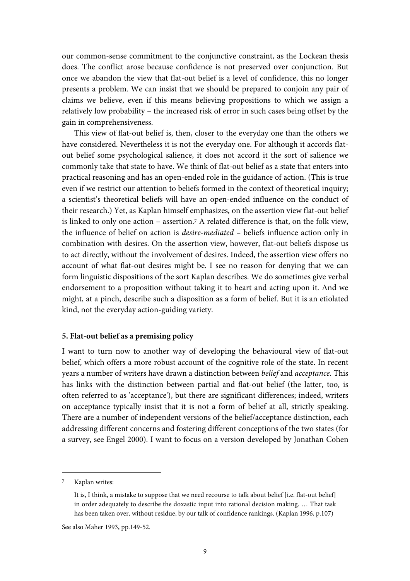our common-sense commitment to the conjunctive constraint, as the Lockean thesis does. The conflict arose because confidence is not preserved over conjunction. But once we abandon the view that flat-out belief is a level of confidence, this no longer presents a problem. We can insist that we should be prepared to conjoin any pair of claims we believe, even if this means believing propositions to which we assign a relatively low probability – the increased risk of error in such cases being offset by the gain in comprehensiveness.

 This view of flat-out belief is, then, closer to the everyday one than the others we have considered. Nevertheless it is not the everyday one. For although it accords flatout belief some psychological salience, it does not accord it the sort of salience we commonly take that state to have. We think of flat-out belief as a state that enters into practical reasoning and has an open-ended role in the guidance of action. (This is true even if we restrict our attention to beliefs formed in the context of theoretical inquiry; a scientist's theoretical beliefs will have an open-ended influence on the conduct of their research.) Yet, as Kaplan himself emphasizes, on the assertion view flat-out belief is linked to only one action – assertion.7 A related difference is that, on the folk view, the influence of belief on action is desire-mediated – beliefs influence action only in combination with desires. On the assertion view, however, flat-out beliefs dispose us to act directly, without the involvement of desires. Indeed, the assertion view offers no account of what flat-out desires might be. I see no reason for denying that we can form linguistic dispositions of the sort Kaplan describes. We do sometimes give verbal endorsement to a proposition without taking it to heart and acting upon it. And we might, at a pinch, describe such a disposition as a form of belief. But it is an etiolated kind, not the everyday action-guiding variety.

# **5. Flat-out belief as a premising policy**

I want to turn now to another way of developing the behavioural view of flat-out belief, which offers a more robust account of the cognitive role of the state. In recent years a number of writers have drawn a distinction between belief and acceptance. This has links with the distinction between partial and flat-out belief (the latter, too, is often referred to as 'acceptance'), but there are significant differences; indeed, writers on acceptance typically insist that it is not a form of belief at all, strictly speaking. There are a number of independent versions of the belief/acceptance distinction, each addressing different concerns and fostering different conceptions of the two states (for a survey, see Engel 2000). I want to focus on a version developed by Jonathan Cohen

 $\overline{a}$ 

<sup>7</sup> Kaplan writes:

It is, I think, a mistake to suppose that we need recourse to talk about belief [i.e. flat-out belief] in order adequately to describe the doxastic input into rational decision making. … That task has been taken over, without residue, by our talk of confidence rankings. (Kaplan 1996, p.107)

See also Maher 1993, pp.149-52.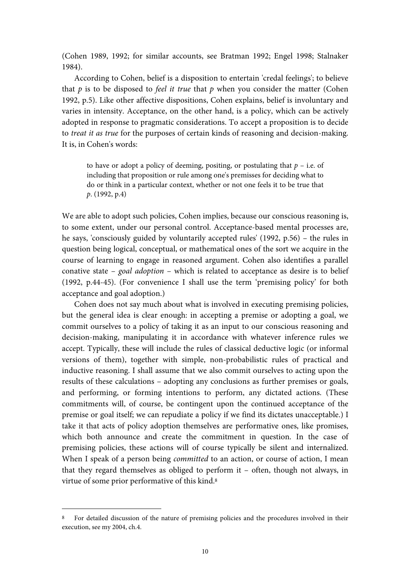(Cohen 1989, 1992; for similar accounts, see Bratman 1992; Engel 1998; Stalnaker 1984).

 According to Cohen, belief is a disposition to entertain 'credal feelings'; to believe that  $p$  is to be disposed to *feel it true* that  $p$  when you consider the matter (Cohen 1992, p.5). Like other affective dispositions, Cohen explains, belief is involuntary and varies in intensity. Acceptance, on the other hand, is a policy, which can be actively adopted in response to pragmatic considerations. To accept a proposition is to decide to treat it as true for the purposes of certain kinds of reasoning and decision-making. It is, in Cohen's words:

to have or adopt a policy of deeming, positing, or postulating that  $p - i.e.$  of including that proposition or rule among one's premisses for deciding what to do or think in a particular context, whether or not one feels it to be true that p. (1992, p.4)

We are able to adopt such policies, Cohen implies, because our conscious reasoning is, to some extent, under our personal control. Acceptance-based mental processes are, he says, 'consciously guided by voluntarily accepted rules' (1992, p.56) – the rules in question being logical, conceptual, or mathematical ones of the sort we acquire in the course of learning to engage in reasoned argument. Cohen also identifies a parallel conative state – goal adoption – which is related to acceptance as desire is to belief (1992, p.44-45). (For convenience I shall use the term 'premising policy' for both acceptance and goal adoption.)

 Cohen does not say much about what is involved in executing premising policies, but the general idea is clear enough: in accepting a premise or adopting a goal, we commit ourselves to a policy of taking it as an input to our conscious reasoning and decision-making, manipulating it in accordance with whatever inference rules we accept. Typically, these will include the rules of classical deductive logic (or informal versions of them), together with simple, non-probabilistic rules of practical and inductive reasoning. I shall assume that we also commit ourselves to acting upon the results of these calculations – adopting any conclusions as further premises or goals, and performing, or forming intentions to perform, any dictated actions. (These commitments will, of course, be contingent upon the continued acceptance of the premise or goal itself; we can repudiate a policy if we find its dictates unacceptable.) I take it that acts of policy adoption themselves are performative ones, like promises, which both announce and create the commitment in question. In the case of premising policies, these actions will of course typically be silent and internalized. When I speak of a person being *committed* to an action, or course of action, I mean that they regard themselves as obliged to perform it – often, though not always, in virtue of some prior performative of this kind.<sup>8</sup>

<sup>8</sup> For detailed discussion of the nature of premising policies and the procedures involved in their execution, see my 2004, ch.4.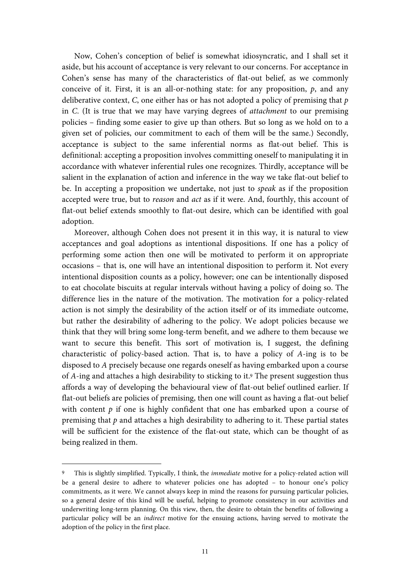Now, Cohen's conception of belief is somewhat idiosyncratic, and I shall set it aside, but his account of acceptance is very relevant to our concerns. For acceptance in Cohen's sense has many of the characteristics of flat-out belief, as we commonly conceive of it. First, it is an all-or-nothing state: for any proposition,  $p$ , and any deliberative context, C, one either has or has not adopted a policy of premising that  $p$ in C. (It is true that we may have varying degrees of attachment to our premising policies – finding some easier to give up than others. But so long as we hold on to a given set of policies, our commitment to each of them will be the same.) Secondly, acceptance is subject to the same inferential norms as flat-out belief. This is definitional: accepting a proposition involves committing oneself to manipulating it in accordance with whatever inferential rules one recognizes. Thirdly, acceptance will be salient in the explanation of action and inference in the way we take flat-out belief to be. In accepting a proposition we undertake, not just to speak as if the proposition accepted were true, but to reason and act as if it were. And, fourthly, this account of flat-out belief extends smoothly to flat-out desire, which can be identified with goal adoption.

 Moreover, although Cohen does not present it in this way, it is natural to view acceptances and goal adoptions as intentional dispositions. If one has a policy of performing some action then one will be motivated to perform it on appropriate occasions – that is, one will have an intentional disposition to perform it. Not every intentional disposition counts as a policy, however; one can be intentionally disposed to eat chocolate biscuits at regular intervals without having a policy of doing so. The difference lies in the nature of the motivation. The motivation for a policy-related action is not simply the desirability of the action itself or of its immediate outcome, but rather the desirability of adhering to the policy. We adopt policies because we think that they will bring some long-term benefit, and we adhere to them because we want to secure this benefit. This sort of motivation is, I suggest, the defining characteristic of policy-based action. That is, to have a policy of A-ing is to be disposed to A precisely because one regards oneself as having embarked upon a course of A-ing and attaches a high desirability to sticking to it.9 The present suggestion thus affords a way of developing the behavioural view of flat-out belief outlined earlier. If flat-out beliefs are policies of premising, then one will count as having a flat-out belief with content  $p$  if one is highly confident that one has embarked upon a course of premising that  $p$  and attaches a high desirability to adhering to it. These partial states will be sufficient for the existence of the flat-out state, which can be thought of as being realized in them.

 $\overline{a}$ 

<sup>9</sup> This is slightly simplified. Typically, I think, the immediate motive for a policy-related action will be a general desire to adhere to whatever policies one has adopted – to honour one's policy commitments, as it were. We cannot always keep in mind the reasons for pursuing particular policies, so a general desire of this kind will be useful, helping to promote consistency in our activities and underwriting long-term planning. On this view, then, the desire to obtain the benefits of following a particular policy will be an indirect motive for the ensuing actions, having served to motivate the adoption of the policy in the first place.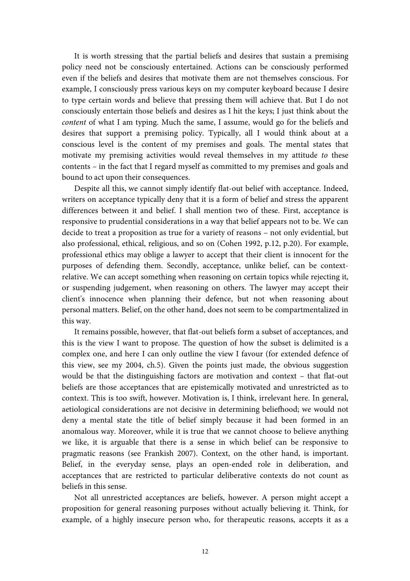It is worth stressing that the partial beliefs and desires that sustain a premising policy need not be consciously entertained. Actions can be consciously performed even if the beliefs and desires that motivate them are not themselves conscious. For example, I consciously press various keys on my computer keyboard because I desire to type certain words and believe that pressing them will achieve that. But I do not consciously entertain those beliefs and desires as I hit the keys; I just think about the content of what I am typing. Much the same, I assume, would go for the beliefs and desires that support a premising policy. Typically, all I would think about at a conscious level is the content of my premises and goals. The mental states that motivate my premising activities would reveal themselves in my attitude to these contents – in the fact that I regard myself as committed to my premises and goals and bound to act upon their consequences.

 Despite all this, we cannot simply identify flat-out belief with acceptance. Indeed, writers on acceptance typically deny that it is a form of belief and stress the apparent differences between it and belief. I shall mention two of these. First, acceptance is responsive to prudential considerations in a way that belief appears not to be. We can decide to treat a proposition as true for a variety of reasons – not only evidential, but also professional, ethical, religious, and so on (Cohen 1992, p.12, p.20). For example, professional ethics may oblige a lawyer to accept that their client is innocent for the purposes of defending them. Secondly, acceptance, unlike belief, can be contextrelative. We can accept something when reasoning on certain topics while rejecting it, or suspending judgement, when reasoning on others. The lawyer may accept their client's innocence when planning their defence, but not when reasoning about personal matters. Belief, on the other hand, does not seem to be compartmentalized in this way.

 It remains possible, however, that flat-out beliefs form a subset of acceptances, and this is the view I want to propose. The question of how the subset is delimited is a complex one, and here I can only outline the view I favour (for extended defence of this view, see my 2004, ch.5). Given the points just made, the obvious suggestion would be that the distinguishing factors are motivation and context – that flat-out beliefs are those acceptances that are epistemically motivated and unrestricted as to context. This is too swift, however. Motivation is, I think, irrelevant here. In general, aetiological considerations are not decisive in determining beliefhood; we would not deny a mental state the title of belief simply because it had been formed in an anomalous way. Moreover, while it is true that we cannot choose to believe anything we like, it is arguable that there is a sense in which belief can be responsive to pragmatic reasons (see Frankish 2007). Context, on the other hand, is important. Belief, in the everyday sense, plays an open-ended role in deliberation, and acceptances that are restricted to particular deliberative contexts do not count as beliefs in this sense.

 Not all unrestricted acceptances are beliefs, however. A person might accept a proposition for general reasoning purposes without actually believing it. Think, for example, of a highly insecure person who, for therapeutic reasons, accepts it as a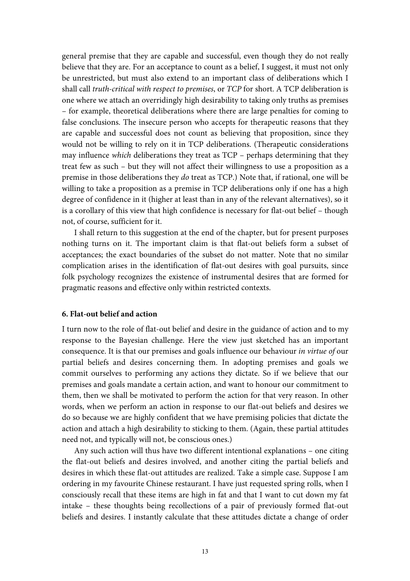general premise that they are capable and successful, even though they do not really believe that they are. For an acceptance to count as a belief, I suggest, it must not only be unrestricted, but must also extend to an important class of deliberations which I shall call truth-critical with respect to premises, or TCP for short. A TCP deliberation is one where we attach an overridingly high desirability to taking only truths as premises – for example, theoretical deliberations where there are large penalties for coming to false conclusions. The insecure person who accepts for therapeutic reasons that they are capable and successful does not count as believing that proposition, since they would not be willing to rely on it in TCP deliberations. (Therapeutic considerations may influence which deliberations they treat as TCP – perhaps determining that they treat few as such – but they will not affect their willingness to use a proposition as a premise in those deliberations they do treat as TCP.) Note that, if rational, one will be willing to take a proposition as a premise in TCP deliberations only if one has a high degree of confidence in it (higher at least than in any of the relevant alternatives), so it is a corollary of this view that high confidence is necessary for flat-out belief – though not, of course, sufficient for it.

 I shall return to this suggestion at the end of the chapter, but for present purposes nothing turns on it. The important claim is that flat-out beliefs form a subset of acceptances; the exact boundaries of the subset do not matter. Note that no similar complication arises in the identification of flat-out desires with goal pursuits, since folk psychology recognizes the existence of instrumental desires that are formed for pragmatic reasons and effective only within restricted contexts.

### **6. Flat-out belief and action**

I turn now to the role of flat-out belief and desire in the guidance of action and to my response to the Bayesian challenge. Here the view just sketched has an important consequence. It is that our premises and goals influence our behaviour in virtue of our partial beliefs and desires concerning them. In adopting premises and goals we commit ourselves to performing any actions they dictate. So if we believe that our premises and goals mandate a certain action, and want to honour our commitment to them, then we shall be motivated to perform the action for that very reason. In other words, when we perform an action in response to our flat-out beliefs and desires we do so because we are highly confident that we have premising policies that dictate the action and attach a high desirability to sticking to them. (Again, these partial attitudes need not, and typically will not, be conscious ones.)

 Any such action will thus have two different intentional explanations – one citing the flat-out beliefs and desires involved, and another citing the partial beliefs and desires in which these flat-out attitudes are realized. Take a simple case. Suppose I am ordering in my favourite Chinese restaurant. I have just requested spring rolls, when I consciously recall that these items are high in fat and that I want to cut down my fat intake – these thoughts being recollections of a pair of previously formed flat-out beliefs and desires. I instantly calculate that these attitudes dictate a change of order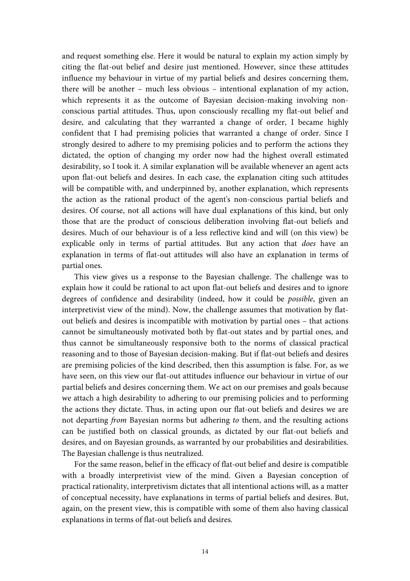and request something else. Here it would be natural to explain my action simply by citing the flat-out belief and desire just mentioned. However, since these attitudes influence my behaviour in virtue of my partial beliefs and desires concerning them, there will be another – much less obvious – intentional explanation of my action, which represents it as the outcome of Bayesian decision-making involving nonconscious partial attitudes. Thus, upon consciously recalling my flat-out belief and desire, and calculating that they warranted a change of order, I became highly confident that I had premising policies that warranted a change of order. Since I strongly desired to adhere to my premising policies and to perform the actions they dictated, the option of changing my order now had the highest overall estimated desirability, so I took it. A similar explanation will be available whenever an agent acts upon flat-out beliefs and desires. In each case, the explanation citing such attitudes will be compatible with, and underpinned by, another explanation, which represents the action as the rational product of the agent's non-conscious partial beliefs and desires. Of course, not all actions will have dual explanations of this kind, but only those that are the product of conscious deliberation involving flat-out beliefs and desires. Much of our behaviour is of a less reflective kind and will (on this view) be explicable only in terms of partial attitudes. But any action that does have an explanation in terms of flat-out attitudes will also have an explanation in terms of partial ones.

 This view gives us a response to the Bayesian challenge. The challenge was to explain how it could be rational to act upon flat-out beliefs and desires and to ignore degrees of confidence and desirability (indeed, how it could be possible, given an interpretivist view of the mind). Now, the challenge assumes that motivation by flatout beliefs and desires is incompatible with motivation by partial ones – that actions cannot be simultaneously motivated both by flat-out states and by partial ones, and thus cannot be simultaneously responsive both to the norms of classical practical reasoning and to those of Bayesian decision-making. But if flat-out beliefs and desires are premising policies of the kind described, then this assumption is false. For, as we have seen, on this view our flat-out attitudes influence our behaviour in virtue of our partial beliefs and desires concerning them. We act on our premises and goals because we attach a high desirability to adhering to our premising policies and to performing the actions they dictate. Thus, in acting upon our flat-out beliefs and desires we are not departing from Bayesian norms but adhering to them, and the resulting actions can be justified both on classical grounds, as dictated by our flat-out beliefs and desires, and on Bayesian grounds, as warranted by our probabilities and desirabilities. The Bayesian challenge is thus neutralized.

 For the same reason, belief in the efficacy of flat-out belief and desire is compatible with a broadly interpretivist view of the mind. Given a Bayesian conception of practical rationality, interpretivism dictates that all intentional actions will, as a matter of conceptual necessity, have explanations in terms of partial beliefs and desires. But, again, on the present view, this is compatible with some of them also having classical explanations in terms of flat-out beliefs and desires.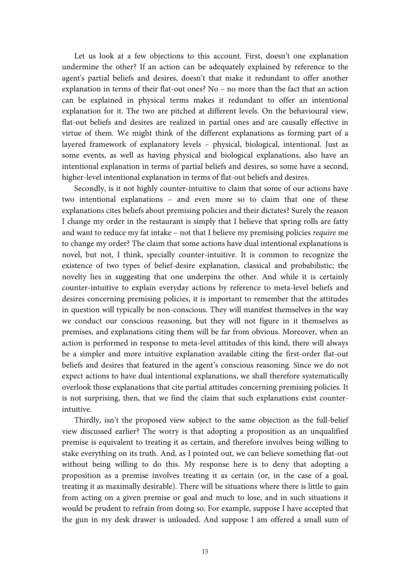Let us look at a few objections to this account. First, doesn't one explanation undermine the other? If an action can be adequately explained by reference to the agent's partial beliefs and desires, doesn't that make it redundant to offer another explanation in terms of their flat-out ones? No – no more than the fact that an action can be explained in physical terms makes it redundant to offer an intentional explanation for it. The two are pitched at different levels. On the behavioural view, flat-out beliefs and desires are realized in partial ones and are causally effective in virtue of them. We might think of the different explanations as forming part of a layered framework of explanatory levels – physical, biological, intentional. Just as some events, as well as having physical and biological explanations, also have an intentional explanation in terms of partial beliefs and desires, so some have a second, higher-level intentional explanation in terms of flat-out beliefs and desires.

 Secondly, is it not highly counter-intuitive to claim that some of our actions have two intentional explanations – and even more so to claim that one of these explanations cites beliefs about premising policies and their dictates? Surely the reason I change my order in the restaurant is simply that I believe that spring rolls are fatty and want to reduce my fat intake – not that I believe my premising policies require me to change my order? The claim that some actions have dual intentional explanations is novel, but not, I think, specially counter-intuitive. It is common to recognize the existence of two types of belief-desire explanation, classical and probabilistic; the novelty lies in suggesting that one underpins the other. And while it is certainly counter-intuitive to explain everyday actions by reference to meta-level beliefs and desires concerning premising policies, it is important to remember that the attitudes in question will typically be non-conscious. They will manifest themselves in the way we conduct our conscious reasoning, but they will not figure in it themselves as premises, and explanations citing them will be far from obvious. Moreover, when an action is performed in response to meta-level attitudes of this kind, there will always be a simpler and more intuitive explanation available citing the first-order flat-out beliefs and desires that featured in the agent's conscious reasoning. Since we do not expect actions to have dual intentional explanations, we shall therefore systematically overlook those explanations that cite partial attitudes concerning premising policies. It is not surprising, then, that we find the claim that such explanations exist counterintuitive.

 Thirdly, isn't the proposed view subject to the same objection as the full-belief view discussed earlier? The worry is that adopting a proposition as an unqualified premise is equivalent to treating it as certain, and therefore involves being willing to stake everything on its truth. And, as I pointed out, we can believe something flat-out without being willing to do this. My response here is to deny that adopting a proposition as a premise involves treating it as certain (or, in the case of a goal, treating it as maximally desirable). There will be situations where there is little to gain from acting on a given premise or goal and much to lose, and in such situations it would be prudent to refrain from doing so. For example, suppose I have accepted that the gun in my desk drawer is unloaded. And suppose I am offered a small sum of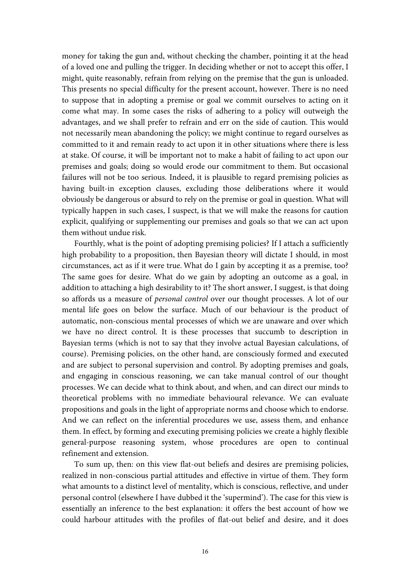money for taking the gun and, without checking the chamber, pointing it at the head of a loved one and pulling the trigger. In deciding whether or not to accept this offer, I might, quite reasonably, refrain from relying on the premise that the gun is unloaded. This presents no special difficulty for the present account, however. There is no need to suppose that in adopting a premise or goal we commit ourselves to acting on it come what may. In some cases the risks of adhering to a policy will outweigh the advantages, and we shall prefer to refrain and err on the side of caution. This would not necessarily mean abandoning the policy; we might continue to regard ourselves as committed to it and remain ready to act upon it in other situations where there is less at stake. Of course, it will be important not to make a habit of failing to act upon our premises and goals; doing so would erode our commitment to them. But occasional failures will not be too serious. Indeed, it is plausible to regard premising policies as having built-in exception clauses, excluding those deliberations where it would obviously be dangerous or absurd to rely on the premise or goal in question. What will typically happen in such cases, I suspect, is that we will make the reasons for caution explicit, qualifying or supplementing our premises and goals so that we can act upon them without undue risk.

 Fourthly, what is the point of adopting premising policies? If I attach a sufficiently high probability to a proposition, then Bayesian theory will dictate I should, in most circumstances, act as if it were true. What do I gain by accepting it as a premise, too? The same goes for desire. What do we gain by adopting an outcome as a goal, in addition to attaching a high desirability to it? The short answer, I suggest, is that doing so affords us a measure of personal control over our thought processes. A lot of our mental life goes on below the surface. Much of our behaviour is the product of automatic, non-conscious mental processes of which we are unaware and over which we have no direct control. It is these processes that succumb to description in Bayesian terms (which is not to say that they involve actual Bayesian calculations, of course). Premising policies, on the other hand, are consciously formed and executed and are subject to personal supervision and control. By adopting premises and goals, and engaging in conscious reasoning, we can take manual control of our thought processes. We can decide what to think about, and when, and can direct our minds to theoretical problems with no immediate behavioural relevance. We can evaluate propositions and goals in the light of appropriate norms and choose which to endorse. And we can reflect on the inferential procedures we use, assess them, and enhance them. In effect, by forming and executing premising policies we create a highly flexible general-purpose reasoning system, whose procedures are open to continual refinement and extension.

 To sum up, then: on this view flat-out beliefs and desires are premising policies, realized in non-conscious partial attitudes and effective in virtue of them. They form what amounts to a distinct level of mentality, which is conscious, reflective, and under personal control (elsewhere I have dubbed it the 'supermind'). The case for this view is essentially an inference to the best explanation: it offers the best account of how we could harbour attitudes with the profiles of flat-out belief and desire, and it does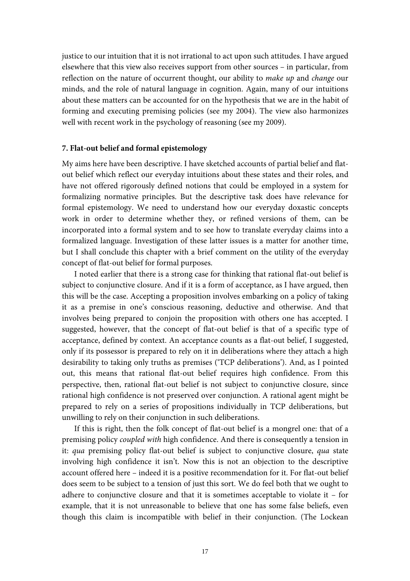justice to our intuition that it is not irrational to act upon such attitudes. I have argued elsewhere that this view also receives support from other sources – in particular, from reflection on the nature of occurrent thought, our ability to make up and change our minds, and the role of natural language in cognition. Again, many of our intuitions about these matters can be accounted for on the hypothesis that we are in the habit of forming and executing premising policies (see my 2004). The view also harmonizes well with recent work in the psychology of reasoning (see my 2009).

# **7. Flat-out belief and formal epistemology**

My aims here have been descriptive. I have sketched accounts of partial belief and flatout belief which reflect our everyday intuitions about these states and their roles, and have not offered rigorously defined notions that could be employed in a system for formalizing normative principles. But the descriptive task does have relevance for formal epistemology. We need to understand how our everyday doxastic concepts work in order to determine whether they, or refined versions of them, can be incorporated into a formal system and to see how to translate everyday claims into a formalized language. Investigation of these latter issues is a matter for another time, but I shall conclude this chapter with a brief comment on the utility of the everyday concept of flat-out belief for formal purposes.

 I noted earlier that there is a strong case for thinking that rational flat-out belief is subject to conjunctive closure. And if it is a form of acceptance, as I have argued, then this will be the case. Accepting a proposition involves embarking on a policy of taking it as a premise in one's conscious reasoning, deductive and otherwise. And that involves being prepared to conjoin the proposition with others one has accepted. I suggested, however, that the concept of flat-out belief is that of a specific type of acceptance, defined by context. An acceptance counts as a flat-out belief, I suggested, only if its possessor is prepared to rely on it in deliberations where they attach a high desirability to taking only truths as premises ('TCP deliberations'). And, as I pointed out, this means that rational flat-out belief requires high confidence. From this perspective, then, rational flat-out belief is not subject to conjunctive closure, since rational high confidence is not preserved over conjunction. A rational agent might be prepared to rely on a series of propositions individually in TCP deliberations, but unwilling to rely on their conjunction in such deliberations.

 If this is right, then the folk concept of flat-out belief is a mongrel one: that of a premising policy coupled with high confidence. And there is consequently a tension in it: qua premising policy flat-out belief is subject to conjunctive closure, qua state involving high confidence it isn't. Now this is not an objection to the descriptive account offered here – indeed it is a positive recommendation for it. For flat-out belief does seem to be subject to a tension of just this sort. We do feel both that we ought to adhere to conjunctive closure and that it is sometimes acceptable to violate it – for example, that it is not unreasonable to believe that one has some false beliefs, even though this claim is incompatible with belief in their conjunction. (The Lockean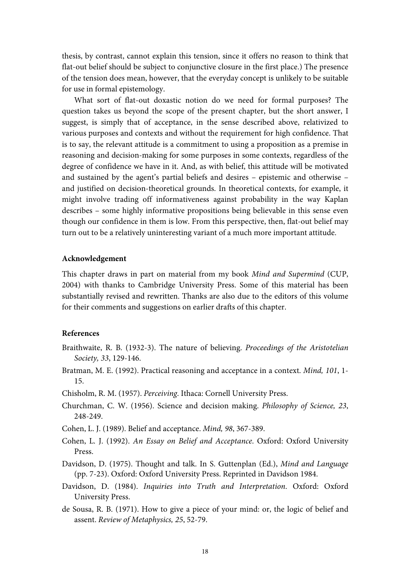thesis, by contrast, cannot explain this tension, since it offers no reason to think that flat-out belief should be subject to conjunctive closure in the first place.) The presence of the tension does mean, however, that the everyday concept is unlikely to be suitable for use in formal epistemology.

 What sort of flat-out doxastic notion do we need for formal purposes? The question takes us beyond the scope of the present chapter, but the short answer, I suggest, is simply that of acceptance, in the sense described above, relativized to various purposes and contexts and without the requirement for high confidence. That is to say, the relevant attitude is a commitment to using a proposition as a premise in reasoning and decision-making for some purposes in some contexts, regardless of the degree of confidence we have in it. And, as with belief, this attitude will be motivated and sustained by the agent's partial beliefs and desires – epistemic and otherwise – and justified on decision-theoretical grounds. In theoretical contexts, for example, it might involve trading off informativeness against probability in the way Kaplan describes – some highly informative propositions being believable in this sense even though our confidence in them is low. From this perspective, then, flat-out belief may turn out to be a relatively uninteresting variant of a much more important attitude.

#### **Acknowledgement**

This chapter draws in part on material from my book Mind and Supermind (CUP, 2004) with thanks to Cambridge University Press. Some of this material has been substantially revised and rewritten. Thanks are also due to the editors of this volume for their comments and suggestions on earlier drafts of this chapter.

### **References**

- Braithwaite, R. B. (1932-3). The nature of believing. Proceedings of the Aristotelian Society, 33, 129-146.
- Bratman, M. E. (1992). Practical reasoning and acceptance in a context. Mind, 101, 1- 15.
- Chisholm, R. M. (1957). Perceiving. Ithaca: Cornell University Press.
- Churchman, C. W. (1956). Science and decision making. Philosophy of Science, 23, 248-249.
- Cohen, L. J. (1989). Belief and acceptance. Mind, 98, 367-389.
- Cohen, L. J. (1992). An Essay on Belief and Acceptance. Oxford: Oxford University Press.
- Davidson, D. (1975). Thought and talk. In S. Guttenplan (Ed.), Mind and Language (pp. 7-23). Oxford: Oxford University Press. Reprinted in Davidson 1984.
- Davidson, D. (1984). Inquiries into Truth and Interpretation. Oxford: Oxford University Press.
- de Sousa, R. B. (1971). How to give a piece of your mind: or, the logic of belief and assent. Review of Metaphysics, 25, 52-79.